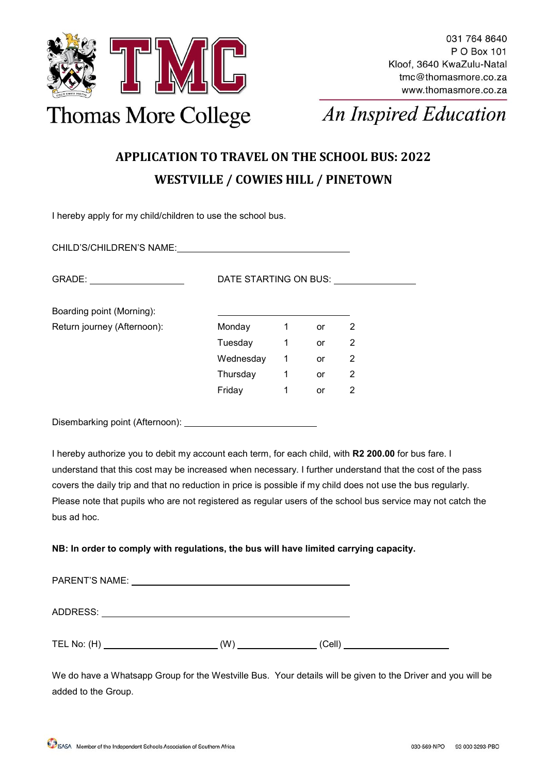

# **An Inspired Education**

### **APPLICATION TO TRAVEL ON THE SCHOOL BUS: 2022 WESTVILLE / COWIES HILL / PINETOWN**

I hereby apply for my child/children to use the school bus.

CHILD'S/CHILDREN'S NAME: GRADE: DATE STARTING ON BUS: Boarding point (Morning): Return journey (Afternoon): Monday 1 or 2 Tuesday 1 or 2 Wednesday 1 or 2 Thursday 1 or 2 Friday 1 or 2

Disembarking point (Afternoon):

I hereby authorize you to debit my account each term, for each child, with **R2 200.00** for bus fare. I understand that this cost may be increased when necessary. I further understand that the cost of the pass covers the daily trip and that no reduction in price is possible if my child does not use the bus regularly. Please note that pupils who are not registered as regular users of the school bus service may not catch the bus ad hoc.

#### **NB: In order to comply with regulations, the bus will have limited carrying capacity.**

| <b>PARENT'S NAME:</b> |               |  |
|-----------------------|---------------|--|
| ADDRESS:              |               |  |
| TEL No: $(H)$         | (W)<br>(Cell) |  |

We do have a Whatsapp Group for the Westville Bus. Your details will be given to the Driver and you will be added to the Group.